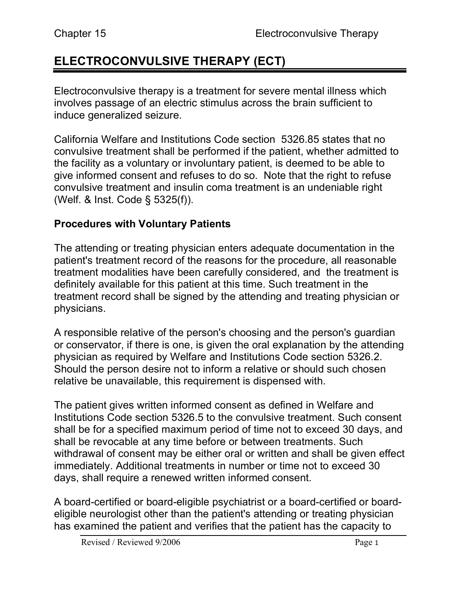# **ELECTROCONVULSIVE THERAPY (ECT)**

Electroconvulsive therapy is a treatment for severe mental illness which involves passage of an electric stimulus across the brain sufficient to induce generalized seizure.

California Welfare and Institutions Code section 5326.85 states that no convulsive treatment shall be performed if the patient, whether admitted to the facility as a voluntary or involuntary patient, is deemed to be able to give informed consent and refuses to do so. Note that the right to refuse convulsive treatment and insulin coma treatment is an undeniable right (Welf. & Inst. Code § 5325(f)).

### **Procedures with Voluntary Patients**

The attending or treating physician enters adequate documentation in the patient's treatment record of the reasons for the procedure, all reasonable treatment modalities have been carefully considered, and the treatment is definitely available for this patient at this time. Such treatment in the treatment record shall be signed by the attending and treating physician or physicians.

A responsible relative of the person's choosing and the person's guardian or conservator, if there is one, is given the oral explanation by the attending physician as required by Welfare and Institutions Code section 5326.2. Should the person desire not to inform a relative or should such chosen relative be unavailable, this requirement is dispensed with.

The patient gives written informed consent as defined in Welfare and Institutions Code section 5326.5 to the convulsive treatment. Such consent shall be for a specified maximum period of time not to exceed 30 days, and shall be revocable at any time before or between treatments. Such withdrawal of consent may be either oral or written and shall be given effect immediately. Additional treatments in number or time not to exceed 30 days, shall require a renewed written informed consent.

A board-certified or board-eligible psychiatrist or a board-certified or boardeligible neurologist other than the patient's attending or treating physician has examined the patient and verifies that the patient has the capacity to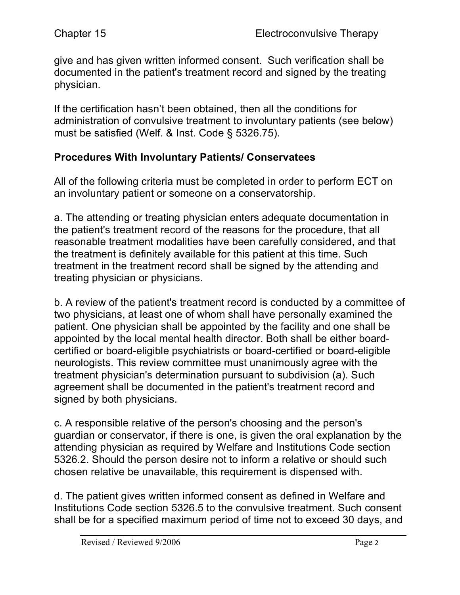give and has given written informed consent. Such verification shall be documented in the patient's treatment record and signed by the treating physician.

If the certification hasn't been obtained, then all the conditions for administration of convulsive treatment to involuntary patients (see below) must be satisfied (Welf. & Inst. Code § 5326.75).

### **Procedures With Involuntary Patients/ Conservatees**

All of the following criteria must be completed in order to perform ECT on an involuntary patient or someone on a conservatorship.

a. The attending or treating physician enters adequate documentation in the patient's treatment record of the reasons for the procedure, that all reasonable treatment modalities have been carefully considered, and that the treatment is definitely available for this patient at this time. Such treatment in the treatment record shall be signed by the attending and treating physician or physicians.

b. A review of the patient's treatment record is conducted by a committee of two physicians, at least one of whom shall have personally examined the patient. One physician shall be appointed by the facility and one shall be appointed by the local mental health director. Both shall be either boardcertified or board-eligible psychiatrists or board-certified or board-eligible neurologists. This review committee must unanimously agree with the treatment physician's determination pursuant to subdivision (a). Such agreement shall be documented in the patient's treatment record and signed by both physicians.

c. A responsible relative of the person's choosing and the person's guardian or conservator, if there is one, is given the oral explanation by the attending physician as required by Welfare and Institutions Code section 5326.2. Should the person desire not to inform a relative or should such chosen relative be unavailable, this requirement is dispensed with.

d. The patient gives written informed consent as defined in Welfare and Institutions Code section 5326.5 to the convulsive treatment. Such consent shall be for a specified maximum period of time not to exceed 30 days, and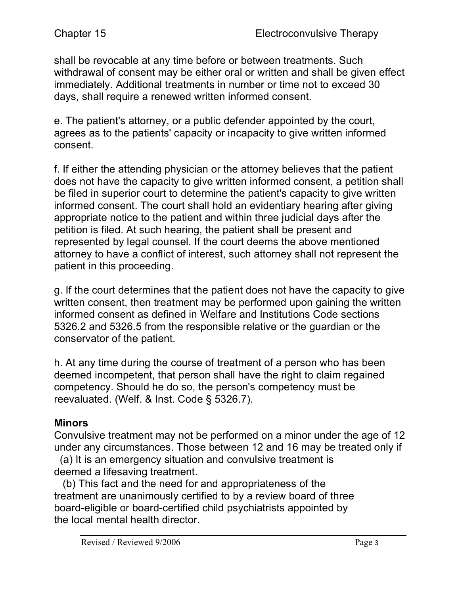shall be revocable at any time before or between treatments. Such withdrawal of consent may be either oral or written and shall be given effect immediately. Additional treatments in number or time not to exceed 30 days, shall require a renewed written informed consent.

e. The patient's attorney, or a public defender appointed by the court, agrees as to the patients' capacity or incapacity to give written informed consent.

f. If either the attending physician or the attorney believes that the patient does not have the capacity to give written informed consent, a petition shall be filed in superior court to determine the patient's capacity to give written informed consent. The court shall hold an evidentiary hearing after giving appropriate notice to the patient and within three judicial days after the petition is filed. At such hearing, the patient shall be present and represented by legal counsel. If the court deems the above mentioned attorney to have a conflict of interest, such attorney shall not represent the patient in this proceeding.

g. If the court determines that the patient does not have the capacity to give written consent, then treatment may be performed upon gaining the written informed consent as defined in Welfare and Institutions Code sections 5326.2 and 5326.5 from the responsible relative or the guardian or the conservator of the patient.

h. At any time during the course of treatment of a person who has been deemed incompetent, that person shall have the right to claim regained competency. Should he do so, the person's competency must be reevaluated. (Welf. & Inst. Code § 5326.7).

#### **Minors**

Convulsive treatment may not be performed on a minor under the age of 12 under any circumstances. Those between 12 and 16 may be treated only if

 (a) It is an emergency situation and convulsive treatment is deemed a lifesaving treatment.

 (b) This fact and the need for and appropriateness of the treatment are unanimously certified to by a review board of three board-eligible or board-certified child psychiatrists appointed by the local mental health director.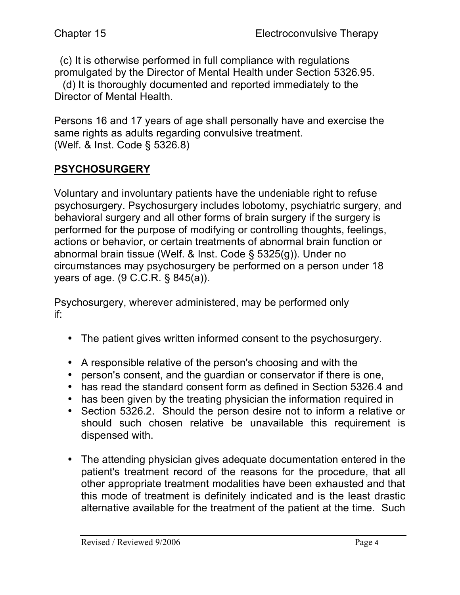(c) It is otherwise performed in full compliance with regulations promulgated by the Director of Mental Health under Section 5326.95.

 (d) It is thoroughly documented and reported immediately to the Director of Mental Health.

Persons 16 and 17 years of age shall personally have and exercise the same rights as adults regarding convulsive treatment. (Welf. & Inst. Code § 5326.8)

# **PSYCHOSURGERY**

Voluntary and involuntary patients have the undeniable right to refuse psychosurgery. Psychosurgery includes lobotomy, psychiatric surgery, and behavioral surgery and all other forms of brain surgery if the surgery is performed for the purpose of modifying or controlling thoughts, feelings, actions or behavior, or certain treatments of abnormal brain function or abnormal brain tissue (Welf. & Inst. Code § 5325(g)). Under no circumstances may psychosurgery be performed on a person under 18 years of age. (9 C.C.R. § 845(a)).

Psychosurgery, wherever administered, may be performed only if:

- The patient gives written informed consent to the psychosurgery.
- A responsible relative of the person's choosing and with the
- person's consent, and the guardian or conservator if there is one,
- has read the standard consent form as defined in Section 5326.4 and
- has been given by the treating physician the information required in
- Section 5326.2. Should the person desire not to inform a relative or should such chosen relative be unavailable this requirement is dispensed with.
- The attending physician gives adequate documentation entered in the patient's treatment record of the reasons for the procedure, that all other appropriate treatment modalities have been exhausted and that this mode of treatment is definitely indicated and is the least drastic alternative available for the treatment of the patient at the time. Such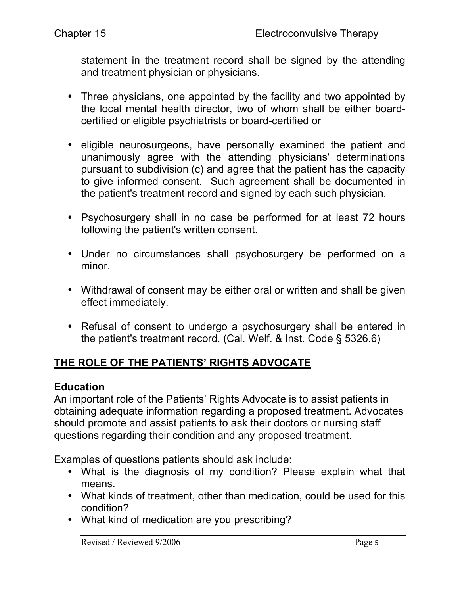statement in the treatment record shall be signed by the attending and treatment physician or physicians.

- Three physicians, one appointed by the facility and two appointed by the local mental health director, two of whom shall be either boardcertified or eligible psychiatrists or board-certified or
- eligible neurosurgeons, have personally examined the patient and unanimously agree with the attending physicians' determinations pursuant to subdivision (c) and agree that the patient has the capacity to give informed consent. Such agreement shall be documented in the patient's treatment record and signed by each such physician.
- Psychosurgery shall in no case be performed for at least 72 hours following the patient's written consent.
- Under no circumstances shall psychosurgery be performed on a minor.
- Withdrawal of consent may be either oral or written and shall be given effect immediately.
- Refusal of consent to undergo a psychosurgery shall be entered in the patient's treatment record. (Cal. Welf. & Inst. Code § 5326.6)

### **THE ROLE OF THE PATIENTS' RIGHTS ADVOCATE**

#### **Education**

An important role of the Patients' Rights Advocate is to assist patients in obtaining adequate information regarding a proposed treatment. Advocates should promote and assist patients to ask their doctors or nursing staff questions regarding their condition and any proposed treatment.

Examples of questions patients should ask include:

- What is the diagnosis of my condition? Please explain what that means.
- What kinds of treatment, other than medication, could be used for this condition?
- What kind of medication are you prescribing?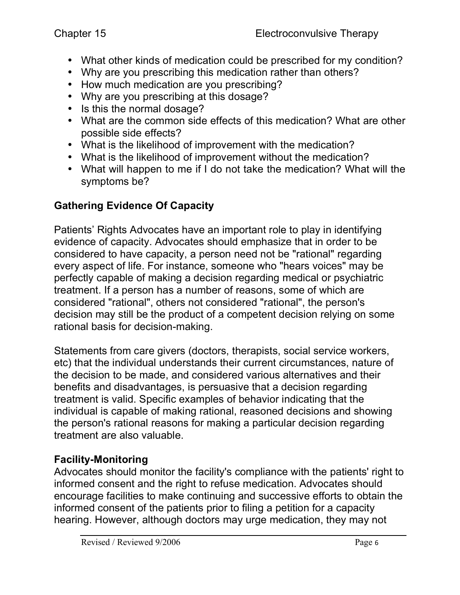- What other kinds of medication could be prescribed for my condition?
- Why are you prescribing this medication rather than others?
- How much medication are you prescribing?
- Why are you prescribing at this dosage?
- Is this the normal dosage?
- What are the common side effects of this medication? What are other possible side effects?
- What is the likelihood of improvement with the medication?
- What is the likelihood of improvement without the medication?
- What will happen to me if I do not take the medication? What will the symptoms be?

## **Gathering Evidence Of Capacity**

Patients' Rights Advocates have an important role to play in identifying evidence of capacity. Advocates should emphasize that in order to be considered to have capacity, a person need not be "rational" regarding every aspect of life. For instance, someone who "hears voices" may be perfectly capable of making a decision regarding medical or psychiatric treatment. If a person has a number of reasons, some of which are considered "rational", others not considered "rational", the person's decision may still be the product of a competent decision relying on some rational basis for decision-making.

Statements from care givers (doctors, therapists, social service workers, etc) that the individual understands their current circumstances, nature of the decision to be made, and considered various alternatives and their benefits and disadvantages, is persuasive that a decision regarding treatment is valid. Specific examples of behavior indicating that the individual is capable of making rational, reasoned decisions and showing the person's rational reasons for making a particular decision regarding treatment are also valuable.

### **Facility-Monitoring**

Advocates should monitor the facility's compliance with the patients' right to informed consent and the right to refuse medication. Advocates should encourage facilities to make continuing and successive efforts to obtain the informed consent of the patients prior to filing a petition for a capacity hearing. However, although doctors may urge medication, they may not